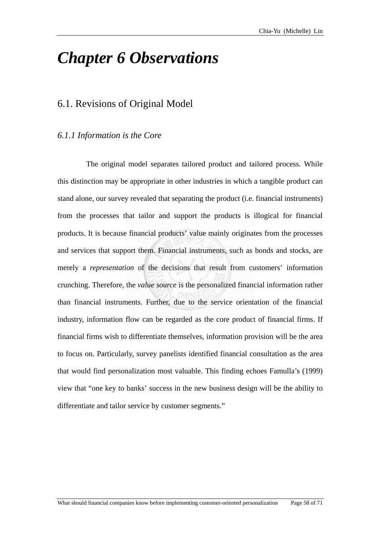## *Chapter 6 Observations*

## 6.1. Revisions of Original Model

## *6.1.1 Information is the Core*

The original model separates tailored product and tailored process. While products. It is because financial products' value mainly originates from the processes and services that support them. Financial instruments, such as bonds and stocks, are merely a *representation* of the decisions that result from customers' information crunching. Therefore, the *value source* is the personalized financial information rather than financial instruments. Further, due to the service orientation of the financial industry, information flow can be regarded as the core product of financial firms. If financial firms wish to differentiate themselves, information provision will be the area to focus on. Particularly, survey panelists identified financial consultation as the area this distinction may be appropriate in other industries in which a tangible product can stand alone, our survey revealed that separating the product (i.e. financial instruments) from the processes that tailor and support the products is illogical for financial that would find personalization most valuable. This finding echoes Famulla's (1999) view that "one key to banks' success in the new business design will be the ability to differentiate and tailor service by customer segments."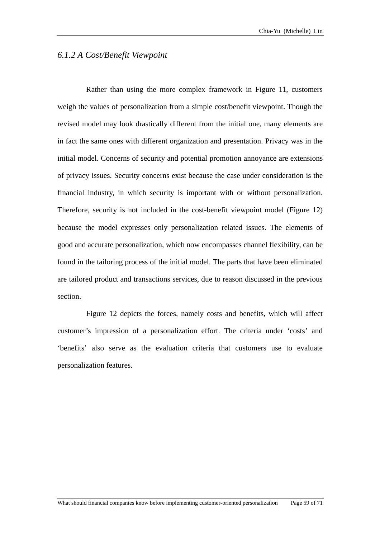## *6.1.2 A Cost/Benefit Viewpoint*

Rather than using the more complex framework in Figure 11, customers weigh the values of personalization from a simple cost/benefit viewpoint. Though the revised model may look drastically different from the initial one, many elements are in fact the same ones with different organization and presentation. Privacy was in the initial model. Concerns of security and potential promotion annoyance are extensions of privacy issues. Security concerns exist because the case under consideration is the financial industry, in which security is important with or without personalization. Therefore, security is not included in the cost-benefit viewpoint model (Figure 12) because the model expresses only personalization related issues. The elements of good and accurate personalization, which now encompasses channel flexibility, can be found in the tailoring process of the initial model. The parts that have been eliminated are tailored product and transactions services, due to reason discussed in the previous section.

Figure 12 depicts the forces, namely costs and benefits, which will affect customer's impression of a personalization effort. The criteria under 'costs' and 'benefits' also serve as the evaluation criteria that customers use to evaluate personalization features.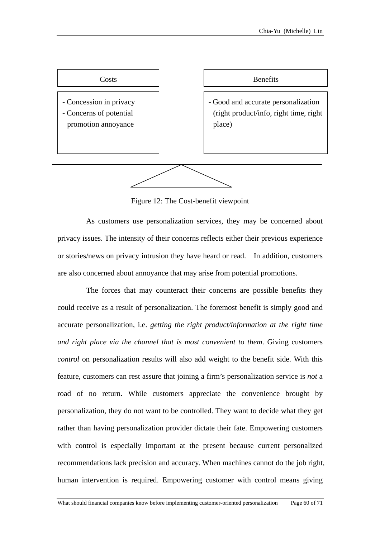

Figure 12: The Cost-benefit viewpoint

As customers use personalization services, they may be concerned about privacy issues. The intensity of their concerns reflects either their previous experience or stories/news on privacy intrusion they have heard or read. In addition, customers are also concerned about annoyance that may arise from potential promotions.

The forces that may counteract their concerns are possible benefits they could receive as a result of personalization. The foremost benefit is simply good and accurate personalization, i.e. *getting the right product/information at the right time and right place via the channel that is most convenient to them*. Giving customers *control* on personalization results will also add weight to the benefit side. With this feature, customers can rest assure that joining a firm's personalization service is *not* a road of no return. While customers appreciate the convenience brought by personalization, they do not want to be controlled. They want to decide what they get rather than having personalization provider dictate their fate. Empowering customers with control is especially important at the present because current personalized recommendations lack precision and accuracy. When machines cannot do the job right, human intervention is required. Empowering customer with control means giving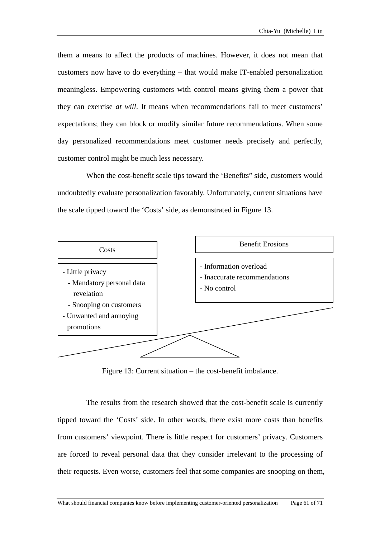them a means to affect the products of machines. However, it does not mean that customers now have to do everything – that would make IT-enabled personalization meaningless. Empowering customers with control means giving them a power that they can exercise *at will*. It means when recommendations fail to meet customers' expectations; they can block or modify similar future recommendations. When some day personalized recommendations meet customer needs precisely and perfectly, customer control might be much less necessary.

When the cost-benefit scale tips toward the 'Benefits" side, customers would undoubtedly evaluate personalization favorably. Unfortunately, current situations have the scale tipped toward the 'Costs' side, as demonstrated in Figure 13.



Figure 13: Current situation – the cost-benefit imbalance.

The results from the research showed that the cost-benefit scale is currently tipped to ward the 'Costs' side. In other words, there exist more costs than benefits from customers' viewpoint. There is little respect for customers' privacy. Customers are forced to reveal personal data that they consider irrelevant to the processing of their requests. Even worse, customers feel that some companies are snooping on them,